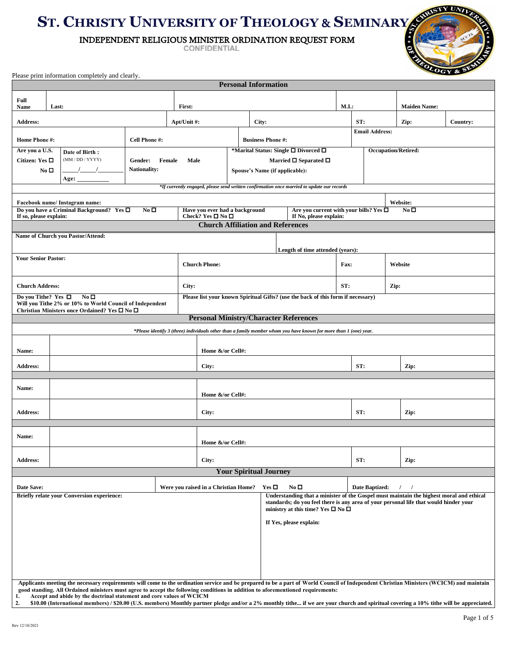## **ST. CHRISTY UNIVERSITY OF THEOLOGY** & **SEMINARY**

INDEPENDENT RELIGIOUS MINISTER ORDINATION REQUEST FORM

| Ÿ        | <b>STATE OF BRIDE</b> |
|----------|-----------------------|
| <b>B</b> | SCUTS                 |
|          |                       |
|          | <b>CALCOMA STATE</b>  |
|          |                       |

|                            |                                                                                                                                                                                                                                                                                                                                                                                                    |  |                                |             |                                                                        |                                                                                            |                                                                                                                                                                                                                                                                  | <b>Personal Information</b> |                                                                       |                                      |                                                                                                                   |                            |             |  |                     |          |  |  |
|----------------------------|----------------------------------------------------------------------------------------------------------------------------------------------------------------------------------------------------------------------------------------------------------------------------------------------------------------------------------------------------------------------------------------------------|--|--------------------------------|-------------|------------------------------------------------------------------------|--------------------------------------------------------------------------------------------|------------------------------------------------------------------------------------------------------------------------------------------------------------------------------------------------------------------------------------------------------------------|-----------------------------|-----------------------------------------------------------------------|--------------------------------------|-------------------------------------------------------------------------------------------------------------------|----------------------------|-------------|--|---------------------|----------|--|--|
| Full                       |                                                                                                                                                                                                                                                                                                                                                                                                    |  |                                |             |                                                                        |                                                                                            |                                                                                                                                                                                                                                                                  |                             |                                                                       |                                      |                                                                                                                   |                            |             |  |                     |          |  |  |
| Name                       | Last:                                                                                                                                                                                                                                                                                                                                                                                              |  |                                | First:      |                                                                        |                                                                                            |                                                                                                                                                                                                                                                                  |                             |                                                                       |                                      |                                                                                                                   | M.I.:                      |             |  | <b>Maiden Name:</b> |          |  |  |
| <b>Address:</b>            |                                                                                                                                                                                                                                                                                                                                                                                                    |  |                                | Apt/Unit #: |                                                                        |                                                                                            |                                                                                                                                                                                                                                                                  | City:                       |                                                                       |                                      |                                                                                                                   | ST:                        |             |  | Zip:                | Country: |  |  |
|                            | Cell Phone #:<br><b>Home Phone #:</b>                                                                                                                                                                                                                                                                                                                                                              |  |                                |             | <b>Business Phone #:</b>                                               |                                                                                            |                                                                                                                                                                                                                                                                  |                             |                                                                       | <b>Email Address:</b>                |                                                                                                                   |                            |             |  |                     |          |  |  |
| Are you a U.S.             | Date of Birth:                                                                                                                                                                                                                                                                                                                                                                                     |  |                                |             |                                                                        |                                                                                            |                                                                                                                                                                                                                                                                  |                             |                                                                       | *Marital Status: Single □ Divorced □ |                                                                                                                   | <b>Occupation/Retired:</b> |             |  |                     |          |  |  |
| Citizen: Yes □             | (MM / DD / YYYY)<br>$\sqrt{1}$                                                                                                                                                                                                                                                                                                                                                                     |  | Gender:<br><b>Nationality:</b> | Female      | Male                                                                   |                                                                                            |                                                                                                                                                                                                                                                                  |                             |                                                                       |                                      | Married $\Box$ Separated $\Box$                                                                                   |                            |             |  |                     |          |  |  |
|                            | No <sub>D</sub><br>Age:                                                                                                                                                                                                                                                                                                                                                                            |  |                                |             | Spouse's Name (if applicable):                                         |                                                                                            |                                                                                                                                                                                                                                                                  |                             |                                                                       |                                      |                                                                                                                   |                            |             |  |                     |          |  |  |
|                            |                                                                                                                                                                                                                                                                                                                                                                                                    |  |                                |             |                                                                        | *If currently engaged, please send written confirmation once married to update our records |                                                                                                                                                                                                                                                                  |                             |                                                                       |                                      |                                                                                                                   |                            |             |  |                     |          |  |  |
|                            | Facebook name/Instagram name:                                                                                                                                                                                                                                                                                                                                                                      |  |                                |             |                                                                        |                                                                                            |                                                                                                                                                                                                                                                                  |                             |                                                                       |                                      |                                                                                                                   |                            |             |  | Website:            |          |  |  |
| If so, please explain:     | Do you have a Criminal Background? Yes □                                                                                                                                                                                                                                                                                                                                                           |  | No <sub>D</sub>                |             | Have you ever had a background<br>Check? Yes $\Box$ No $\Box$          |                                                                                            |                                                                                                                                                                                                                                                                  |                             | Are you current with your bills? Yes $\Box$<br>If No, please explain: |                                      |                                                                                                                   |                            |             |  | No <sub>D</sub>     |          |  |  |
|                            |                                                                                                                                                                                                                                                                                                                                                                                                    |  |                                |             |                                                                        | <b>Church Affiliation and References</b>                                                   |                                                                                                                                                                                                                                                                  |                             |                                                                       |                                      |                                                                                                                   |                            |             |  |                     |          |  |  |
|                            | Name of Church you Pastor/Attend:                                                                                                                                                                                                                                                                                                                                                                  |  |                                |             |                                                                        |                                                                                            |                                                                                                                                                                                                                                                                  |                             |                                                                       |                                      |                                                                                                                   |                            |             |  |                     |          |  |  |
|                            |                                                                                                                                                                                                                                                                                                                                                                                                    |  |                                |             |                                                                        |                                                                                            |                                                                                                                                                                                                                                                                  |                             |                                                                       |                                      | Length of time attended (years):                                                                                  |                            |             |  |                     |          |  |  |
| <b>Your Senior Pastor:</b> |                                                                                                                                                                                                                                                                                                                                                                                                    |  |                                |             |                                                                        | <b>Church Phone:</b>                                                                       |                                                                                                                                                                                                                                                                  |                             |                                                                       |                                      |                                                                                                                   | Fax:                       |             |  |                     | Website  |  |  |
|                            |                                                                                                                                                                                                                                                                                                                                                                                                    |  |                                |             |                                                                        |                                                                                            |                                                                                                                                                                                                                                                                  |                             |                                                                       |                                      |                                                                                                                   |                            |             |  |                     |          |  |  |
| <b>Church Address:</b>     |                                                                                                                                                                                                                                                                                                                                                                                                    |  |                                |             | City:                                                                  |                                                                                            |                                                                                                                                                                                                                                                                  |                             |                                                                       |                                      |                                                                                                                   | ST:                        |             |  | Zip:                |          |  |  |
|                            | No <sub>D</sub><br>Do vou Tithe? Yes $\Box$<br>Will you Tithe 2% or 10% to World Council of Independent<br>Christian Ministers once Ordained? Yes □ No □                                                                                                                                                                                                                                           |  |                                |             |                                                                        |                                                                                            |                                                                                                                                                                                                                                                                  |                             |                                                                       |                                      | Please list your known Spiritual Gifts? (use the back of this form if necessary)                                  |                            |             |  |                     |          |  |  |
|                            |                                                                                                                                                                                                                                                                                                                                                                                                    |  |                                |             |                                                                        | <b>Personal Ministry/Character References</b>                                              |                                                                                                                                                                                                                                                                  |                             |                                                                       |                                      |                                                                                                                   |                            |             |  |                     |          |  |  |
|                            |                                                                                                                                                                                                                                                                                                                                                                                                    |  |                                |             |                                                                        |                                                                                            |                                                                                                                                                                                                                                                                  |                             |                                                                       |                                      | *Please identify 3 (three) individuals other than a family member whom you have known for more than 1 (one) year. |                            |             |  |                     |          |  |  |
| Name:                      |                                                                                                                                                                                                                                                                                                                                                                                                    |  |                                |             |                                                                        | Home &/or Cell#:                                                                           |                                                                                                                                                                                                                                                                  |                             |                                                                       |                                      |                                                                                                                   |                            |             |  |                     |          |  |  |
| <b>Address:</b>            |                                                                                                                                                                                                                                                                                                                                                                                                    |  |                                |             |                                                                        | City:                                                                                      |                                                                                                                                                                                                                                                                  |                             |                                                                       |                                      |                                                                                                                   |                            | ST:<br>Zip: |  |                     |          |  |  |
|                            |                                                                                                                                                                                                                                                                                                                                                                                                    |  |                                |             |                                                                        |                                                                                            |                                                                                                                                                                                                                                                                  |                             |                                                                       |                                      |                                                                                                                   |                            |             |  |                     |          |  |  |
| Name:                      |                                                                                                                                                                                                                                                                                                                                                                                                    |  |                                |             |                                                                        | Home &/or Cell#:                                                                           |                                                                                                                                                                                                                                                                  |                             |                                                                       |                                      |                                                                                                                   |                            |             |  |                     |          |  |  |
| <b>Address:</b>            |                                                                                                                                                                                                                                                                                                                                                                                                    |  |                                |             | City:                                                                  |                                                                                            |                                                                                                                                                                                                                                                                  |                             |                                                                       |                                      | ST:<br>Zip:                                                                                                       |                            |             |  |                     |          |  |  |
|                            |                                                                                                                                                                                                                                                                                                                                                                                                    |  |                                |             |                                                                        |                                                                                            |                                                                                                                                                                                                                                                                  |                             |                                                                       |                                      |                                                                                                                   |                            |             |  |                     |          |  |  |
| Name:<br>Home &/or Cell#:  |                                                                                                                                                                                                                                                                                                                                                                                                    |  |                                |             |                                                                        |                                                                                            |                                                                                                                                                                                                                                                                  |                             |                                                                       |                                      |                                                                                                                   |                            |             |  |                     |          |  |  |
|                            |                                                                                                                                                                                                                                                                                                                                                                                                    |  |                                |             |                                                                        |                                                                                            |                                                                                                                                                                                                                                                                  |                             |                                                                       |                                      |                                                                                                                   |                            |             |  |                     |          |  |  |
|                            | <b>Address:</b>                                                                                                                                                                                                                                                                                                                                                                                    |  |                                |             | City:                                                                  |                                                                                            |                                                                                                                                                                                                                                                                  |                             |                                                                       |                                      | ST:<br>Zip:                                                                                                       |                            |             |  |                     |          |  |  |
|                            | <b>Your Spiritual Journey</b>                                                                                                                                                                                                                                                                                                                                                                      |  |                                |             |                                                                        |                                                                                            |                                                                                                                                                                                                                                                                  |                             |                                                                       |                                      |                                                                                                                   |                            |             |  |                     |          |  |  |
| Date Save:                 | <b>Briefly relate your Conversion experience:</b>                                                                                                                                                                                                                                                                                                                                                  |  |                                |             | Yes $\Box$<br>$\bf No \,\bf D$<br>Were you raised in a Christian Home? |                                                                                            |                                                                                                                                                                                                                                                                  |                             |                                                                       |                                      | Date Baptized:                                                                                                    |                            |             |  |                     |          |  |  |
|                            |                                                                                                                                                                                                                                                                                                                                                                                                    |  |                                |             |                                                                        |                                                                                            | Understanding that a minister of the Gospel must maintain the highest moral and ethical<br>standards; do you feel there is any area of your personal life that would hinder your<br>ministry at this time? Yes $\square$ No $\square$<br>If Yes, please explain: |                             |                                                                       |                                      |                                                                                                                   |                            |             |  |                     |          |  |  |
|                            |                                                                                                                                                                                                                                                                                                                                                                                                    |  |                                |             |                                                                        |                                                                                            |                                                                                                                                                                                                                                                                  |                             |                                                                       |                                      |                                                                                                                   |                            |             |  |                     |          |  |  |
|                            | Applicants meeting the necessary requirements will come to the ordination service and be prepared to be a part of World Council of Independent Christian Ministers (WCICM) and maintain                                                                                                                                                                                                            |  |                                |             |                                                                        |                                                                                            |                                                                                                                                                                                                                                                                  |                             |                                                                       |                                      |                                                                                                                   |                            |             |  |                     |          |  |  |
| 1.<br>2.                   | good standing. All Ordained ministers must agree to accept the following conditions in addition to aforementioned requirements:<br>Accept and abide by the doctrinal statement and core values of WCICM<br>\$10.00 (International members) / \$20.00 (U.S. members) Monthly partner pledge and/or a 2% monthly tithe if we are your church and spiritual covering a 10% tithe will be appreciated. |  |                                |             |                                                                        |                                                                                            |                                                                                                                                                                                                                                                                  |                             |                                                                       |                                      |                                                                                                                   |                            |             |  |                     |          |  |  |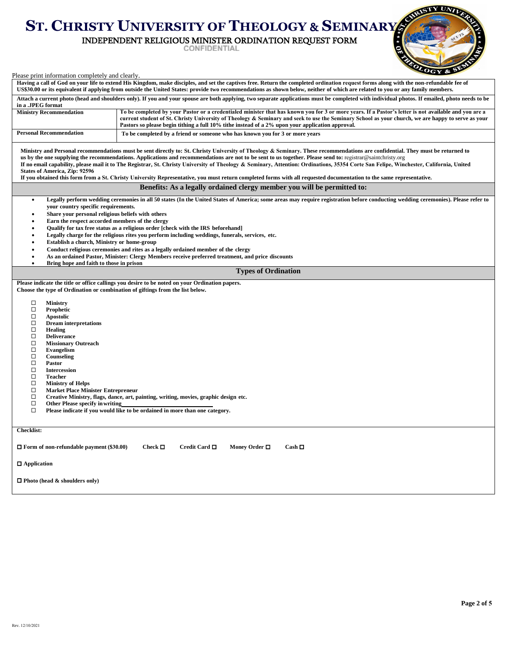## **ST. CHRISTY UNIVERSITY OF THEOLOGY** & **SEMINARY**

## INDEPENDENT RELIGIOUS MINISTER ORDINATION REQUEST FORM

**METHODOLOGICA** 

| Please print information completely and clearly.                                                                                                                                                                                                                                                                                                                                                                                                                                                                                                                                                                        | $\mathbf{C}\mathbf{Y}$ & $\mathbf{Z}$                                                                                                                                                                                                                                                                                                                                                                                                                                                                                                                                                                                                                                                                            |
|-------------------------------------------------------------------------------------------------------------------------------------------------------------------------------------------------------------------------------------------------------------------------------------------------------------------------------------------------------------------------------------------------------------------------------------------------------------------------------------------------------------------------------------------------------------------------------------------------------------------------|------------------------------------------------------------------------------------------------------------------------------------------------------------------------------------------------------------------------------------------------------------------------------------------------------------------------------------------------------------------------------------------------------------------------------------------------------------------------------------------------------------------------------------------------------------------------------------------------------------------------------------------------------------------------------------------------------------------|
|                                                                                                                                                                                                                                                                                                                                                                                                                                                                                                                                                                                                                         | Having a call of God on your life to extend His Kingdom, make disciples, and set the captives free. Return the completed ordination request forms along with the non-refundable fee of<br>US\$30.00 or its equivalent if applying from outside the United States: provide two recommendations as shown below, neither of which are related to you or any family members.                                                                                                                                                                                                                                                                                                                                         |
| in a .JPEG format                                                                                                                                                                                                                                                                                                                                                                                                                                                                                                                                                                                                       | Attach a current photo (head and shoulders only). If you and your spouse are both applying, two separate applications must be completed with individual photos. If emailed, photo needs to be                                                                                                                                                                                                                                                                                                                                                                                                                                                                                                                    |
| <b>Ministry Recommendation</b>                                                                                                                                                                                                                                                                                                                                                                                                                                                                                                                                                                                          | To be completed by your Pastor or a credentialed minister that has known you for 3 or more years. If a Pastor's letter is not available and you are a<br>current student of St. Christy University of Theology & Seminary and seek to use the Seminary School as your church, we are happy to serve as your<br>Pastors so please begin tithing a full 10% tithe instead of a 2% upon your application approval.                                                                                                                                                                                                                                                                                                  |
| <b>Personal Recommendation</b>                                                                                                                                                                                                                                                                                                                                                                                                                                                                                                                                                                                          | To be completed by a friend or someone who has known you for 3 or more years                                                                                                                                                                                                                                                                                                                                                                                                                                                                                                                                                                                                                                     |
| <b>States of America, Zip: 92596</b>                                                                                                                                                                                                                                                                                                                                                                                                                                                                                                                                                                                    | Ministry and Personal recommendations must be sent directly to: St. Christy University of Theology & Seminary. These recommendations are confidential. They must be returned to<br>us by the one supplying the recommendations. Applications and recommendations are not to be sent to us together. Please send to: registrar@saintchristy.org<br>If no email capability, please mail it to The Registrar, St. Christy University of Theology & Seminary, Attention: Ordinations, 35354 Corte San Felipe, Winchester, California, United<br>If you obtained this form from a St. Christy University Representative, you must return completed forms with all requested documentation to the same representative. |
|                                                                                                                                                                                                                                                                                                                                                                                                                                                                                                                                                                                                                         | Benefits: As a legally ordained clergy member you will be permitted to:                                                                                                                                                                                                                                                                                                                                                                                                                                                                                                                                                                                                                                          |
| $\bullet$<br>your country specific requirements.<br>Share your personal religious beliefs with others<br>Earn the respect accorded members of the clergy<br>Establish a church, Ministry or home-group<br>Bring hope and faith to those in prison<br>$\bullet$                                                                                                                                                                                                                                                                                                                                                          | Legally perform wedding ceremonies in all 50 states (In the United States of America; some areas may require registration before conducting wedding ceremonies). Please refer to<br>Oualify for tax free status as a religious order [check with the IRS beforehand]<br>Legally charge for the religious rites you perform including weddings, funerals, services, etc.<br>Conduct religious ceremonies and rites as a legally ordained member of the clergy<br>As an ordained Pastor, Minister: Clergy Members receive preferred treatment, and price discounts                                                                                                                                                 |
|                                                                                                                                                                                                                                                                                                                                                                                                                                                                                                                                                                                                                         | <b>Types of Ordination</b>                                                                                                                                                                                                                                                                                                                                                                                                                                                                                                                                                                                                                                                                                       |
| Choose the type of Ordination or combination of giftings from the list below.<br>□<br>Ministry<br>$\Box$<br>Prophetic<br>$\Box$<br><b>Apostolic</b><br>$\Box$<br><b>Dream</b> interpretations<br>$\Box$<br><b>Healing</b><br>$\Box$<br><b>Deliverance</b><br>$\Box$<br><b>Missionary Outreach</b><br>$\Box$<br>Evangelism<br>□<br>Counseling<br>$\Box$<br><b>Pastor</b><br>$\Box$<br><b>Intercession</b><br>$\Box$<br><b>Teacher</b><br>$\Box$<br><b>Ministry of Helps</b><br>$\Box$<br><b>Market Place Minister Entrepreneur</b><br>$\Box$<br>$\Box$<br>Other Please specify in writing<br>$\Box$<br><b>Checklist:</b> | Please indicate the title or office callings you desire to be noted on your Ordination papers.<br>Creative Ministry, flags, dance, art, painting, writing, movies, graphic design etc.<br>Please indicate if you would like to be ordained in more than one category.                                                                                                                                                                                                                                                                                                                                                                                                                                            |
|                                                                                                                                                                                                                                                                                                                                                                                                                                                                                                                                                                                                                         |                                                                                                                                                                                                                                                                                                                                                                                                                                                                                                                                                                                                                                                                                                                  |
| $\Box$ Form of non-refundable payment (\$30.00)                                                                                                                                                                                                                                                                                                                                                                                                                                                                                                                                                                         | Check $\square$<br>Credit Card □<br>Money Order □<br>$Cash \Box$                                                                                                                                                                                                                                                                                                                                                                                                                                                                                                                                                                                                                                                 |
| $\Box$ Application                                                                                                                                                                                                                                                                                                                                                                                                                                                                                                                                                                                                      |                                                                                                                                                                                                                                                                                                                                                                                                                                                                                                                                                                                                                                                                                                                  |
| $\Box$ Photo (head & shoulders only)                                                                                                                                                                                                                                                                                                                                                                                                                                                                                                                                                                                    |                                                                                                                                                                                                                                                                                                                                                                                                                                                                                                                                                                                                                                                                                                                  |

**Page 2 of 5**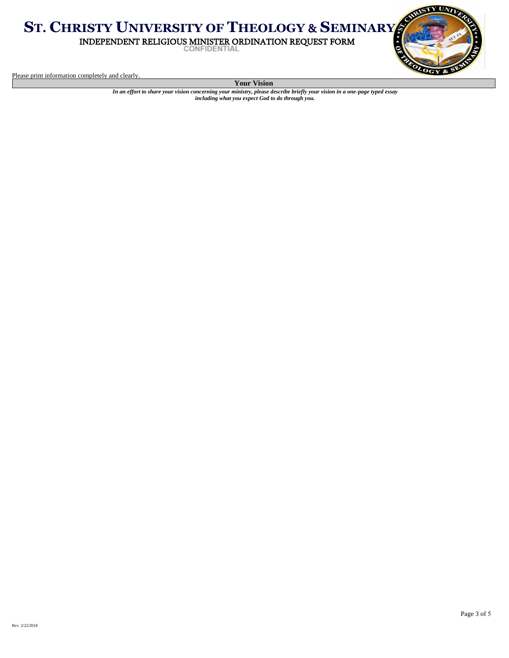**ST. CHRISTY UNIVERSITY OF THEOLOGY** & **SEMINARY** INDEPENDENT RELIGIOUS MINISTER ORDINATION REQUEST FORM



Please print information completely and clearly.

**Your Vision**

*In an effort to share your vision concerning your ministry, please describe briefly your vision in a one-page typed essay including what you expect God to do through you.*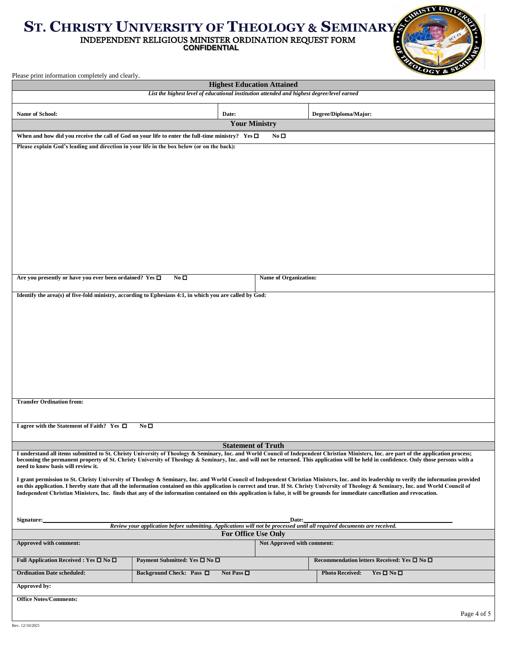## **ST. CHRISTY UNIVERSITY OF THEOLOGY** & **SEMINARY** INDEPENDENT RELIGIOUS MINISTER ORDINATION REQUEST FORM

**CONFIDENTIAL** 



Please print information completely and clearly.

| <b>Highest Education Attained</b>                                                                                                                                                                                                                                                                                                                                            |                                                                                                         |                              |                                                                                                                                                                                            |  |  |  |  |
|------------------------------------------------------------------------------------------------------------------------------------------------------------------------------------------------------------------------------------------------------------------------------------------------------------------------------------------------------------------------------|---------------------------------------------------------------------------------------------------------|------------------------------|--------------------------------------------------------------------------------------------------------------------------------------------------------------------------------------------|--|--|--|--|
|                                                                                                                                                                                                                                                                                                                                                                              | List the highest level of educational institution attended and highest degree/level earned              |                              |                                                                                                                                                                                            |  |  |  |  |
| Name of School:                                                                                                                                                                                                                                                                                                                                                              | Date:                                                                                                   |                              | Degree/Diploma/Major:                                                                                                                                                                      |  |  |  |  |
|                                                                                                                                                                                                                                                                                                                                                                              |                                                                                                         | <b>Your Ministry</b>         |                                                                                                                                                                                            |  |  |  |  |
| When and how did you receive the call of God on your life to enter the full-time ministry? Yes $\square$<br>No $\square$                                                                                                                                                                                                                                                     |                                                                                                         |                              |                                                                                                                                                                                            |  |  |  |  |
| Please explain God's leading and direction in your life in the box below (or on the back):                                                                                                                                                                                                                                                                                   |                                                                                                         |                              |                                                                                                                                                                                            |  |  |  |  |
|                                                                                                                                                                                                                                                                                                                                                                              |                                                                                                         |                              |                                                                                                                                                                                            |  |  |  |  |
|                                                                                                                                                                                                                                                                                                                                                                              |                                                                                                         |                              |                                                                                                                                                                                            |  |  |  |  |
|                                                                                                                                                                                                                                                                                                                                                                              |                                                                                                         |                              |                                                                                                                                                                                            |  |  |  |  |
|                                                                                                                                                                                                                                                                                                                                                                              |                                                                                                         |                              |                                                                                                                                                                                            |  |  |  |  |
|                                                                                                                                                                                                                                                                                                                                                                              |                                                                                                         |                              |                                                                                                                                                                                            |  |  |  |  |
|                                                                                                                                                                                                                                                                                                                                                                              |                                                                                                         |                              |                                                                                                                                                                                            |  |  |  |  |
|                                                                                                                                                                                                                                                                                                                                                                              |                                                                                                         |                              |                                                                                                                                                                                            |  |  |  |  |
|                                                                                                                                                                                                                                                                                                                                                                              |                                                                                                         |                              |                                                                                                                                                                                            |  |  |  |  |
|                                                                                                                                                                                                                                                                                                                                                                              |                                                                                                         |                              |                                                                                                                                                                                            |  |  |  |  |
|                                                                                                                                                                                                                                                                                                                                                                              |                                                                                                         |                              |                                                                                                                                                                                            |  |  |  |  |
| Are you presently or have you ever been ordained? Yes □                                                                                                                                                                                                                                                                                                                      | No <sub>1</sub>                                                                                         | <b>Name of Organization:</b> |                                                                                                                                                                                            |  |  |  |  |
|                                                                                                                                                                                                                                                                                                                                                                              | Identify the area(s) of five-fold ministry, according to Ephesians 4:1, in which you are called by God: |                              |                                                                                                                                                                                            |  |  |  |  |
|                                                                                                                                                                                                                                                                                                                                                                              |                                                                                                         |                              |                                                                                                                                                                                            |  |  |  |  |
|                                                                                                                                                                                                                                                                                                                                                                              |                                                                                                         |                              |                                                                                                                                                                                            |  |  |  |  |
|                                                                                                                                                                                                                                                                                                                                                                              |                                                                                                         |                              |                                                                                                                                                                                            |  |  |  |  |
|                                                                                                                                                                                                                                                                                                                                                                              |                                                                                                         |                              |                                                                                                                                                                                            |  |  |  |  |
|                                                                                                                                                                                                                                                                                                                                                                              |                                                                                                         |                              |                                                                                                                                                                                            |  |  |  |  |
|                                                                                                                                                                                                                                                                                                                                                                              |                                                                                                         |                              |                                                                                                                                                                                            |  |  |  |  |
|                                                                                                                                                                                                                                                                                                                                                                              |                                                                                                         |                              |                                                                                                                                                                                            |  |  |  |  |
|                                                                                                                                                                                                                                                                                                                                                                              |                                                                                                         |                              |                                                                                                                                                                                            |  |  |  |  |
| <b>Transfer Ordination from:</b>                                                                                                                                                                                                                                                                                                                                             |                                                                                                         |                              |                                                                                                                                                                                            |  |  |  |  |
|                                                                                                                                                                                                                                                                                                                                                                              |                                                                                                         |                              |                                                                                                                                                                                            |  |  |  |  |
| I agree with the Statement of Faith? Yes $\Box$                                                                                                                                                                                                                                                                                                                              | No <sub>D</sub>                                                                                         |                              |                                                                                                                                                                                            |  |  |  |  |
|                                                                                                                                                                                                                                                                                                                                                                              |                                                                                                         | <b>Statement of Truth</b>    |                                                                                                                                                                                            |  |  |  |  |
|                                                                                                                                                                                                                                                                                                                                                                              |                                                                                                         |                              | I understand all items submitted to St. Christy University of Theology & Seminary, Inc. and World Council of Independent Christian Ministers, Inc. are part of the application process;    |  |  |  |  |
| need to know basis will review it.                                                                                                                                                                                                                                                                                                                                           |                                                                                                         |                              | becoming the permanent property of St. Christy University of Theology & Seminary, Inc. and will not be returned. This application will be held in confidence. Only those persons with a    |  |  |  |  |
|                                                                                                                                                                                                                                                                                                                                                                              |                                                                                                         |                              | I grant permission to St. Christy University of Theology & Seminary, Inc. and World Council of Independent Christian Ministers, Inc. and its leadership to verify the information provided |  |  |  |  |
| on this application. I hereby state that all the information contained on this application is correct and true. If St. Christy University of Theology & Seminary, Inc. and World Council of<br>Independent Christian Ministers, Inc. finds that any of the information contained on this application is false, it will be grounds for immediate cancellation and revocation. |                                                                                                         |                              |                                                                                                                                                                                            |  |  |  |  |
|                                                                                                                                                                                                                                                                                                                                                                              |                                                                                                         |                              |                                                                                                                                                                                            |  |  |  |  |
|                                                                                                                                                                                                                                                                                                                                                                              |                                                                                                         |                              |                                                                                                                                                                                            |  |  |  |  |
| Signature:<br>Date:<br>Review your application before submitting. Applications will not be processed until all required documents are received.                                                                                                                                                                                                                              |                                                                                                         |                              |                                                                                                                                                                                            |  |  |  |  |
| <b>For Office Use Only</b><br>Not Approved with comment:<br>Approved with comment:                                                                                                                                                                                                                                                                                           |                                                                                                         |                              |                                                                                                                                                                                            |  |  |  |  |
|                                                                                                                                                                                                                                                                                                                                                                              |                                                                                                         |                              |                                                                                                                                                                                            |  |  |  |  |
| Full Application Received : Yes $\square$ No $\square$                                                                                                                                                                                                                                                                                                                       | Payment Submitted: Yes $\square$ No $\square$                                                           |                              | Recommendation letters Received: Yes $\square$ No $\square$                                                                                                                                |  |  |  |  |
| <b>Ordination Date scheduled:</b>                                                                                                                                                                                                                                                                                                                                            | Background Check: Pass □<br>Not Pass $\Box$                                                             |                              | <b>Photo Received:</b><br>$Yes \Box No \Box$                                                                                                                                               |  |  |  |  |
| Approved by:                                                                                                                                                                                                                                                                                                                                                                 |                                                                                                         |                              |                                                                                                                                                                                            |  |  |  |  |
| <b>Office Notes/Comments:</b>                                                                                                                                                                                                                                                                                                                                                |                                                                                                         |                              |                                                                                                                                                                                            |  |  |  |  |
|                                                                                                                                                                                                                                                                                                                                                                              |                                                                                                         |                              | Page 4 of 5                                                                                                                                                                                |  |  |  |  |
| Rev. 12/10/2021                                                                                                                                                                                                                                                                                                                                                              |                                                                                                         |                              |                                                                                                                                                                                            |  |  |  |  |